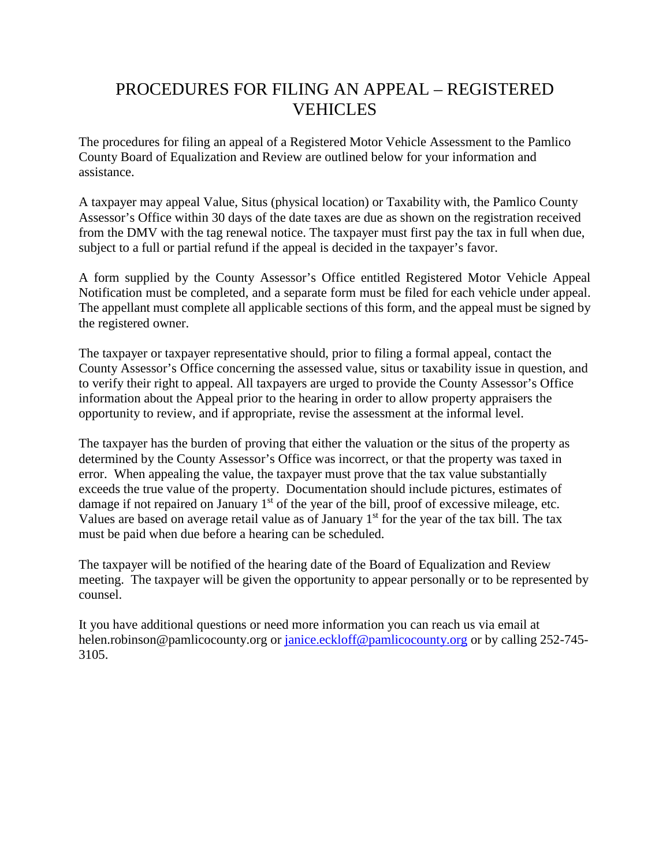## PROCEDURES FOR FILING AN APPEAL – REGISTERED VEHICLES

The procedures for filing an appeal of a Registered Motor Vehicle Assessment to the Pamlico County Board of Equalization and Review are outlined below for your information and assistance.

A taxpayer may appeal Value, Situs (physical location) or Taxability with, the Pamlico County Assessor's Office within 30 days of the date taxes are due as shown on the registration received from the DMV with the tag renewal notice. The taxpayer must first pay the tax in full when due, subject to a full or partial refund if the appeal is decided in the taxpayer's favor.

A form supplied by the County Assessor's Office entitled Registered Motor Vehicle Appeal Notification must be completed, and a separate form must be filed for each vehicle under appeal. The appellant must complete all applicable sections of this form, and the appeal must be signed by the registered owner.

The taxpayer or taxpayer representative should, prior to filing a formal appeal, contact the County Assessor's Office concerning the assessed value, situs or taxability issue in question, and to verify their right to appeal. All taxpayers are urged to provide the County Assessor's Office information about the Appeal prior to the hearing in order to allow property appraisers the opportunity to review, and if appropriate, revise the assessment at the informal level.

The taxpayer has the burden of proving that either the valuation or the situs of the property as determined by the County Assessor's Office was incorrect, or that the property was taxed in error. When appealing the value, the taxpayer must prove that the tax value substantially exceeds the true value of the property. Documentation should include pictures, estimates of damage if not repaired on January  $1<sup>st</sup>$  of the year of the bill, proof of excessive mileage, etc. Values are based on average retail value as of January 1<sup>st</sup> for the year of the tax bill. The tax must be paid when due before a hearing can be scheduled.

The taxpayer will be notified of the hearing date of the Board of Equalization and Review meeting. The taxpayer will be given the opportunity to appear personally or to be represented by counsel.

It you have additional questions or need more information you can reach us via email at helen.robinson@pamlicocounty.org or [janice.eckloff@pamlicocounty.org](mailto:janice.eckloff@pamlicocounty.org) or by calling 252-745-3105.